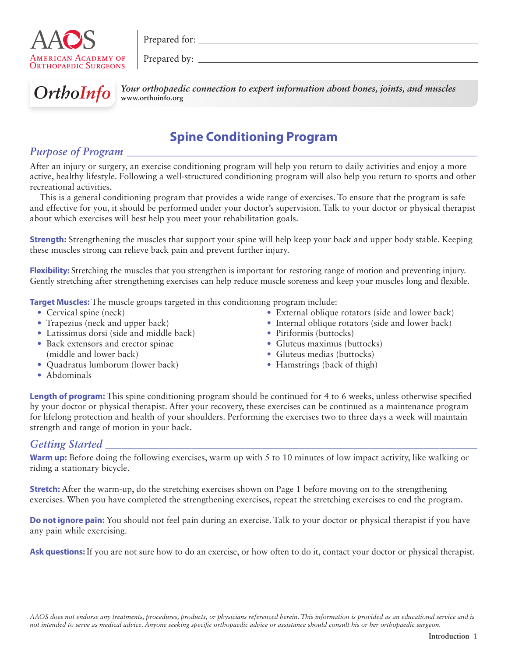

Prepared for:

Prepared by:  $\overline{\phantom{a}}$ 



**OrthoInfo** Your orthopaedic connection to expert information about bones, joints, and muscles **www.orthoinfo.org**

# **Spine Conditioning Program**

## *Purpose of Program*

After an injury or surgery, an exercise conditioning program will help you return to daily activities and enjoy a more active, healthy lifestyle. Following a well-structured conditioning program will also help you return to sports and other recreational activities.

This is a general conditioning program that provides a wide range of exercises. To ensure that the program is safe and effective for you, it should be performed under your doctor's supervision. Talk to your doctor or physical therapist about which exercises will best help you meet your rehabilitation goals.

**Strength:** Strengthening the muscles that support your spine will help keep your back and upper body stable. Keeping these muscles strong can relieve back pain and prevent further injury.

**Flexibility:** Stretching the muscles that you strengthen is important for restoring range of motion and preventing injury. Gently stretching after strengthening exercises can help reduce muscle soreness and keep your muscles long and flexible.

**Target Muscles:** The muscle groups targeted in this conditioning program include:

- Cervical spine (neck)
- Trapezius (neck and upper back)
- Latissimus dorsi (side and middle back)
- Back extensors and erector spinae (middle and lower back)
- Quadratus lumborum (lower back)

• Piriformis (buttocks) • Gluteus maximus (buttocks)

• External oblique rotators (side and lower back) • Internal oblique rotators (side and lower back)

- Gluteus medias (buttocks)
- Hamstrings (back of thigh)

• Abdominals

**Length of program:** This spine conditioning program should be continued for 4 to 6 weeks, unless otherwise specified by your doctor or physical therapist. After your recovery, these exercises can be continued as a maintenance program for lifelong protection and health of your shoulders. Performing the exercises two to three days a week will maintain strength and range of motion in your back.

### *Getting Started \_\_\_\_\_\_\_\_\_\_\_\_\_\_\_\_\_\_\_\_\_\_\_\_\_\_\_\_\_\_\_\_\_\_\_\_\_\_\_\_\_\_\_\_\_\_\_\_\_\_\_\_\_\_\_\_\_\_\_\_\_\_\_\_\_\_\_\_\_*

**Warm up:** Before doing the following exercises, warm up with 5 to 10 minutes of low impact activity, like walking or riding a stationary bicycle.

**Stretch:** After the warm-up, do the stretching exercises shown on Page 1 before moving on to the strengthening exercises. When you have completed the strengthening exercises, repeat the stretching exercises to end the program.

**Do not ignore pain:** You should not feel pain during an exercise. Talk to your doctor or physical therapist if you have any pain while exercising.

**Ask questions:** If you are not sure how to do an exercise, or how often to do it, contact your doctor or physical therapist.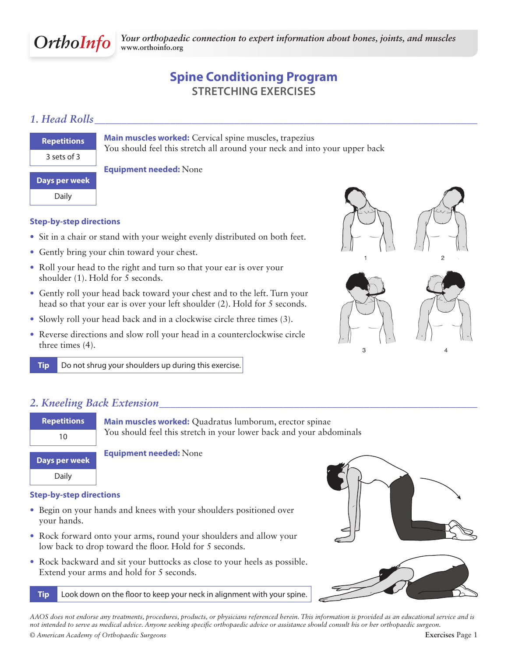

# **Spine Conditioning Program Stretching Exercises**

## *1. Head Rolls\_\_\_\_\_\_\_\_\_\_\_\_\_\_\_\_\_\_\_\_\_\_\_\_\_\_\_\_\_\_\_\_\_\_\_\_\_\_\_\_\_\_\_\_\_\_\_\_\_\_\_\_\_\_\_\_\_\_\_\_\_\_\_\_\_\_\_\_\_\_\_*

| <b>Repetitions</b> |
|--------------------|
| 3 sets of 3        |
| Days per week      |

**Main muscles worked:** Cervical spine muscles, trapezius You should feel this stretch all around your neck and into your upper back

Daily

### **Step-by-step directions**

- Sit in a chair or stand with your weight evenly distributed on both feet.
- Gently bring your chin toward your chest.
- Roll your head to the right and turn so that your ear is over your shoulder (1). Hold for 5 seconds.

**Equipment needed:** None

- Gently roll your head back toward your chest and to the left. Turn your head so that your ear is over your left shoulder (2). Hold for 5 seconds.
- Slowly roll your head back and in a clockwise circle three times (3).
- Reverse directions and slow roll your head in a counterclockwise circle three times (4).

**Tip** Do not shrug your shoulders up during this exercise.

# *2. Kneeling Back Extension\_\_\_\_\_\_\_\_\_\_\_\_\_\_\_\_\_\_\_\_\_\_\_\_\_\_\_\_\_\_\_\_\_\_\_\_\_\_\_\_\_\_\_\_\_\_\_\_\_\_\_\_\_\_\_\_\_\_\_*



#### **Step-by-step directions**

- Begin on your hands and knees with your shoulders positioned over your hands.
- Rock forward onto your arms, round your shoulders and allow your low back to drop toward the floor. Hold for 5 seconds.
- Rock backward and sit your buttocks as close to your heels as possible. Extend your arms and hold for 5 seconds.

**Tip** Look down on the floor to keep your neck in alignment with your spine.





*AAOS does not endorse any treatments, procedures, products, or physicians referenced herein. This information is provided as an educational service and is not intended to serve as medical advice. Anyone seeking specific orthopaedic advice or assistance should consult his or her orthopaedic surgeon.*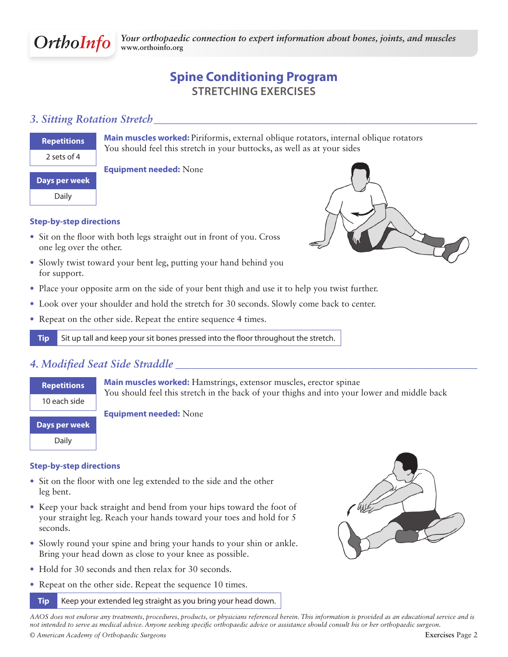

# **Spine Conditioning Program Stretching Exercises**

### *3. Sitting Rotation Stretch\_\_\_\_\_\_\_\_\_\_\_\_\_\_\_\_\_\_\_\_\_\_\_\_\_\_\_\_\_\_\_\_\_\_\_\_\_\_\_\_\_\_\_\_\_\_\_\_\_\_\_\_\_\_\_\_\_\_\_\_*

### **Repetitions** 2 sets of 4

**Main muscles worked:** Piriformis, external oblique rotators, internal oblique rotators You should feel this stretch in your buttocks, as well as at your sides

# **Days per week**

Daily

#### **Step-by-step directions**

• Sit on the floor with both legs straight out in front of you. Cross one leg over the other.

**Equipment needed:** None

- Slowly twist toward your bent leg, putting your hand behind you for support.
- Place your opposite arm on the side of your bent thigh and use it to help you twist further.
- Look over your shoulder and hold the stretch for 30 seconds. Slowly come back to center.
- Repeat on the other side. Repeat the entire sequence 4 times.

**Tip** Sit up tall and keep your sit bones pressed into the floor throughout the stretch.

## *4. Modified Seat Side Straddle \_\_\_\_\_\_\_\_\_\_\_\_\_\_\_\_\_\_\_\_\_\_\_\_\_\_\_\_\_\_\_\_\_\_\_\_\_\_\_\_\_\_\_\_\_\_\_\_\_\_\_\_\_\_\_\_*



#### **Step-by-step directions**

- Sit on the floor with one leg extended to the side and the other leg bent.
- Keep your back straight and bend from your hips toward the foot of your straight leg. Reach your hands toward your toes and hold for 5 seconds.
- Slowly round your spine and bring your hands to your shin or ankle. Bring your head down as close to your knee as possible.
- Hold for 30 seconds and then relax for 30 seconds.
- Repeat on the other side. Repeat the sequence 10 times.

### **Tip** Keep your extended leg straight as you bring your head down.



*AAOS does not endorse any treatments, procedures, products, or physicians referenced herein. This information is provided as an educational service and is not intended to serve as medical advice. Anyone seeking specific orthopaedic advice or assistance should consult his or her orthopaedic surgeon.*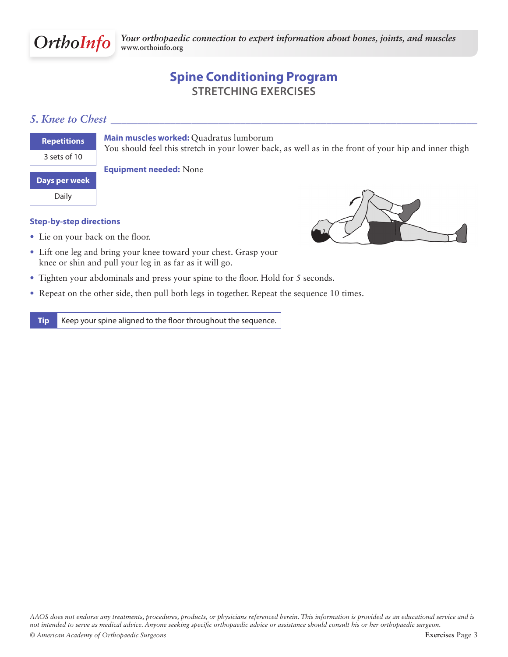

# **Spine Conditioning Program Stretching Exercises**

### *5. Knee to Chest \_\_\_\_\_\_\_\_\_\_\_\_\_\_\_\_\_\_\_\_\_\_\_\_\_\_\_\_\_\_\_\_\_\_\_\_\_\_\_\_\_\_\_\_\_\_\_\_\_\_\_\_\_\_\_\_\_\_\_\_\_\_\_\_\_\_\_\_*

| <b>Repetitions</b>   |
|----------------------|
| 3 sets of 10         |
| <b>Days per week</b> |
| Daily                |

**Main muscles worked:** Quadratus lumborum

You should feel this stretch in your lower back, as well as in the front of your hip and inner thigh

**Equipment needed:** None

#### **Step-by-step directions**

• Lie on your back on the floor.



- Lift one leg and bring your knee toward your chest. Grasp your knee or shin and pull your leg in as far as it will go.
- Tighten your abdominals and press your spine to the floor. Hold for 5 seconds.
- Repeat on the other side, then pull both legs in together. Repeat the sequence 10 times.

**Tip** Keep your spine aligned to the floor throughout the sequence.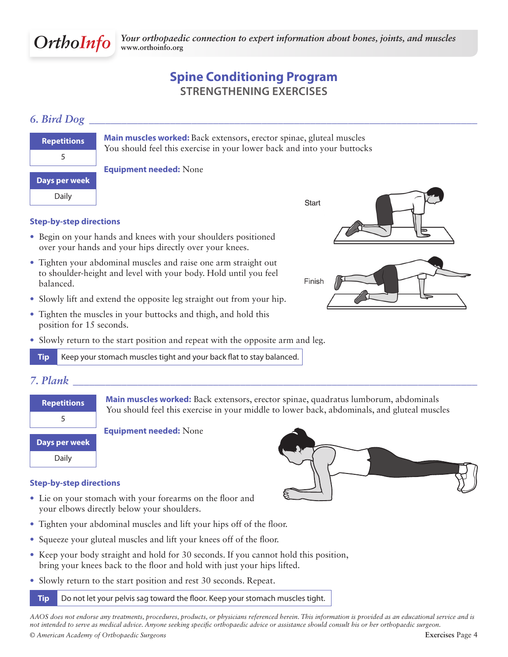

# **Spine Conditioning Program Strengthening Exercises**

## *6. Bird Dog \_\_\_\_\_\_\_\_\_\_\_\_\_\_\_\_\_\_\_\_\_\_\_\_\_\_\_\_\_\_\_\_\_\_\_\_\_\_\_\_\_\_\_\_\_\_\_\_\_\_\_\_\_\_\_\_\_\_\_\_\_\_\_\_\_\_\_\_\_\_\_\_*

| <b>Repetitions</b> |
|--------------------|
| 5                  |
|                    |
| Days per week      |
| Daily              |

**Main muscles worked:** Back extensors, erector spinae, gluteal muscles You should feel this exercise in your lower back and into your buttocks

#### **Equipment needed:** None



### **Step-by-step directions**

- Begin on your hands and knees with your shoulders positioned over your hands and your hips directly over your knees.
- Tighten your abdominal muscles and raise one arm straight out to shoulder-height and level with your body. Hold until you feel balanced.
- Slowly lift and extend the opposite leg straight out from your hip.
- Tighten the muscles in your buttocks and thigh, and hold this position for 15 seconds.
- Slowly return to the start position and repeat with the opposite arm and leg.

**Tip** Keep your stomach muscles tight and your back flat to stay balanced.



### *7. Plank \_\_\_\_\_\_\_\_\_\_\_\_\_\_\_\_\_\_\_\_\_\_\_\_\_\_\_\_\_\_\_\_\_\_\_\_\_\_\_\_\_\_\_\_\_\_\_\_\_\_\_\_\_\_\_\_\_\_\_\_\_\_\_\_\_\_\_\_\_\_\_\_\_\_\_*

| <b>Repetitions</b> |
|--------------------|
| 5                  |
| Days per week      |
| Dai                |

 **Main muscles worked:** Back extensors, erector spinae, quadratus lumborum, abdominals You should feel this exercise in your middle to lower back, abdominals, and gluteal muscles

 $\begin{array}{|c|c|c|}\n\hline\n\hline\n\end{array}$  Daily

**Equipment needed:** None

## **Step-by-step directions**

- Lie on your stomach with your forearms on the floor and your elbows directly below your shoulders.
- Tighten your abdominal muscles and lift your hips off of the floor.
- Squeeze your gluteal muscles and lift your knees off of the floor.
- Keep your body straight and hold for 30 seconds. If you cannot hold this position, bring your knees back to the floor and hold with just your hips lifted.
- Slowly return to the start position and rest 30 seconds. Repeat.

**Tip** Do not let your pelvis sag toward the floor. Keep your stomach muscles tight.

*© American Academy of Orthopaedic Surgeons* **Exercises** Page 4 *AAOS does not endorse any treatments, procedures, products, or physicians referenced herein. This information is provided as an educational service and is not intended to serve as medical advice. Anyone seeking specific orthopaedic advice or assistance should consult his or her orthopaedic surgeon.*

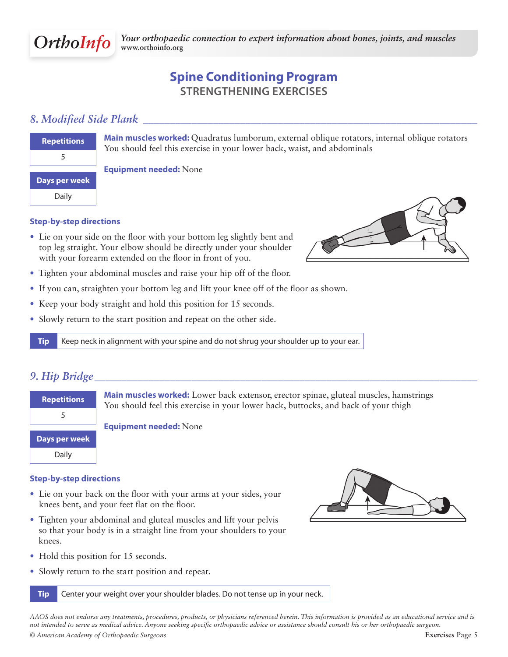

# **Spine Conditioning Program Strengthening Exercises**

## *8. Modified Side Plank \_\_\_\_\_\_\_\_\_\_\_\_\_\_\_\_\_\_\_\_\_\_\_\_\_\_\_\_\_\_\_\_\_\_\_\_\_\_\_\_\_\_\_\_\_\_\_\_\_\_\_\_\_\_\_\_\_\_\_\_\_\_*

| <b>Repetitions</b> |  |  |
|--------------------|--|--|
| 5                  |  |  |
|                    |  |  |
| Days per week      |  |  |
| Daily              |  |  |

**Main muscles worked:** Quadratus lumborum, external oblique rotators, internal oblique rotators You should feel this exercise in your lower back, waist, and abdominals

**Equipment needed:** None

#### **Step-by-step directions**

• Lie on your side on the floor with your bottom leg slightly bent and top leg straight. Your elbow should be directly under your shoulder with your forearm extended on the floor in front of you.



- Tighten your abdominal muscles and raise your hip off of the floor.
- If you can, straighten your bottom leg and lift your knee off of the floor as shown.
- Keep your body straight and hold this position for 15 seconds.
- Slowly return to the start position and repeat on the other side.

**Tip** Keep neck in alignment with your spine and do not shrug your shoulder up to your ear.

## *9. Hip Bridge \_\_\_\_\_\_\_\_\_\_\_\_\_\_\_\_\_\_\_\_\_\_\_\_\_\_\_\_\_\_\_\_\_\_\_\_\_\_\_\_\_\_\_\_\_\_\_\_\_\_\_\_\_\_\_\_\_\_\_\_\_\_\_\_\_\_\_\_\_\_\_*

| Repetitions   | Main muscles worked: Lower back extensor, erector spinae, gluteal muscles, hamstrings<br>You should feel this exercise in your lower back, buttocks, and back of your thigh |
|---------------|-----------------------------------------------------------------------------------------------------------------------------------------------------------------------------|
|               |                                                                                                                                                                             |
|               | <b>Equipment needed: None</b>                                                                                                                                               |
| Days per week |                                                                                                                                                                             |
| Daily         |                                                                                                                                                                             |

#### **Step-by-step directions**

- Lie on your back on the floor with your arms at your sides, your knees bent, and your feet flat on the floor.
- Tighten your abdominal and gluteal muscles and lift your pelvis so that your body is in a straight line from your shoulders to your knees.
- Hold this position for 15 seconds.
- Slowly return to the start position and repeat.

**Tip** Center your weight over your shoulder blades. Do not tense up in your neck.

*© American Academy of Orthopaedic Surgeons* **Exercises** Page 5 *AAOS does not endorse any treatments, procedures, products, or physicians referenced herein. This information is provided as an educational service and is not intended to serve as medical advice. Anyone seeking specific orthopaedic advice or assistance should consult his or her orthopaedic surgeon.*